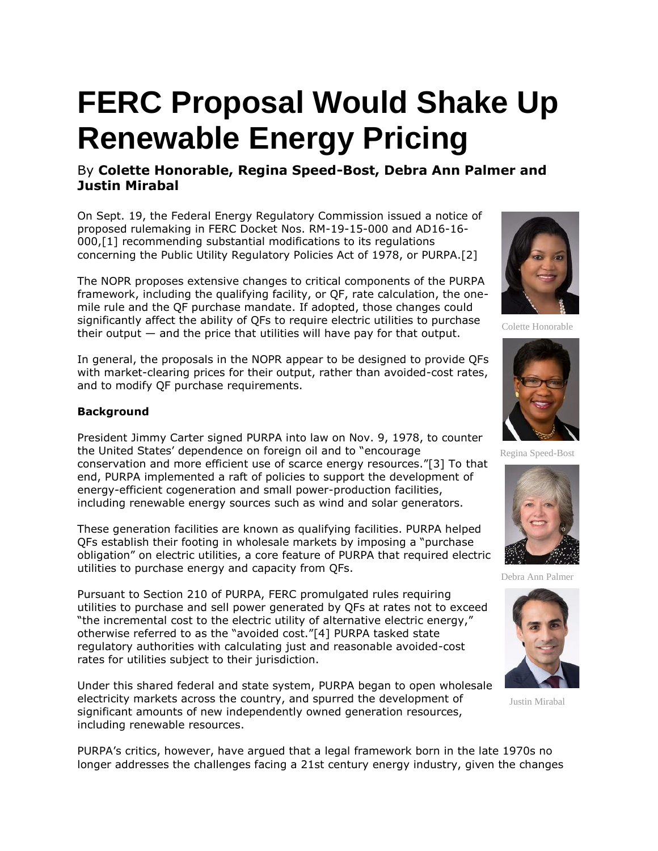# **FERC Proposal Would Shake Up Renewable Energy Pricing**

# By **Colette Honorable, Regina Speed-Bost, Debra Ann Palmer and Justin Mirabal**

On Sept. 19, the [Federal Energy Regulatory Commission](https://www.law360.com/agencies/federal-energy-regulatory-commission) issued a notice of proposed rulemaking in FERC Docket Nos. RM-19-15-000 and AD16-16- 000,[1] recommending substantial modifications to its regulations concerning the Public Utility Regulatory Policies Act of 1978, or PURPA.[2]

The NOPR proposes extensive changes to critical components of the PURPA framework, including the qualifying facility, or QF, rate calculation, the onemile rule and the QF purchase mandate. If adopted, those changes could significantly affect the ability of QFs to require electric utilities to purchase their output — and the price that utilities will have pay for that output.

In general, the proposals in the NOPR appear to be designed to provide QFs with market-clearing prices for their output, rather than avoided-cost rates, and to modify QF purchase requirements.

# **Background**

President Jimmy Carter signed PURPA into law on Nov. 9, 1978, to counter the United States' dependence on foreign oil and to "encourage conservation and more efficient use of scarce energy resources."[3] To that end, PURPA implemented a raft of policies to support the development of energy-efficient cogeneration and small power-production facilities, including renewable energy sources such as wind and solar generators.

These generation facilities are known as qualifying facilities. PURPA helped QFs establish their footing in wholesale markets by imposing a "purchase obligation" on electric utilities, a core feature of PURPA that required electric utilities to purchase energy and capacity from QFs.

Pursuant to Section 210 of PURPA, FERC promulgated rules requiring utilities to purchase and sell power generated by QFs at rates not to exceed "the incremental cost to the electric utility of alternative electric energy," otherwise referred to as the "avoided cost."[4] PURPA tasked state regulatory authorities with calculating just and reasonable avoided-cost rates for utilities subject to their jurisdiction.

Under this shared federal and state system, PURPA began to open wholesale electricity markets across the country, and spurred the development of significant amounts of new independently owned generation resources, including renewable resources.



Colette Honorable



Regina Speed-Bost



Debra Ann Palmer



Justin Mirabal

PURPA's critics, however, have argued that a legal framework born in the late 1970s no longer addresses the challenges facing a 21st century energy industry, given the changes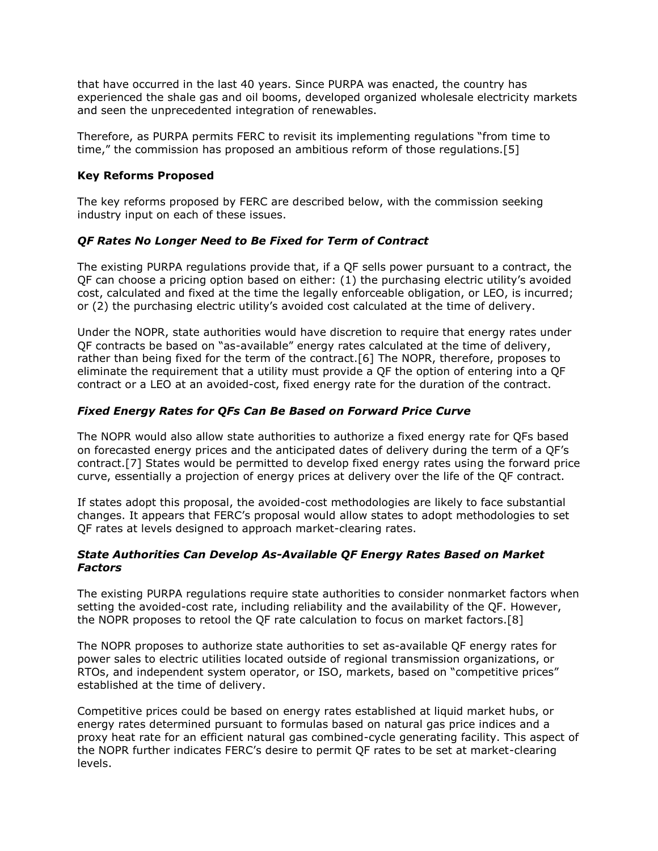that have occurred in the last 40 years. Since PURPA was enacted, the country has experienced the shale gas and oil booms, developed organized wholesale electricity markets and seen the unprecedented integration of renewables.

Therefore, as PURPA permits FERC to revisit its implementing regulations "from time to time," the commission has proposed an ambitious reform of those regulations.[5]

### **Key Reforms Proposed**

The key reforms proposed by FERC are described below, with the commission seeking industry input on each of these issues.

# *QF Rates No Longer Need to Be Fixed for Term of Contract*

The existing PURPA regulations provide that, if a QF sells power pursuant to a contract, the QF can choose a pricing option based on either: (1) the purchasing electric utility's avoided cost, calculated and fixed at the time the legally enforceable obligation, or LEO, is incurred; or (2) the purchasing electric utility's avoided cost calculated at the time of delivery.

Under the NOPR, state authorities would have discretion to require that energy rates under QF contracts be based on "as-available" energy rates calculated at the time of delivery, rather than being fixed for the term of the contract.[6] The NOPR, therefore, proposes to eliminate the requirement that a utility must provide a QF the option of entering into a QF contract or a LEO at an avoided-cost, fixed energy rate for the duration of the contract.

# *Fixed Energy Rates for QFs Can Be Based on Forward Price Curve*

The NOPR would also allow state authorities to authorize a fixed energy rate for QFs based on forecasted energy prices and the anticipated dates of delivery during the term of a QF's contract.[7] States would be permitted to develop fixed energy rates using the forward price curve, essentially a projection of energy prices at delivery over the life of the QF contract.

If states adopt this proposal, the avoided-cost methodologies are likely to face substantial changes. It appears that FERC's proposal would allow states to adopt methodologies to set QF rates at levels designed to approach market-clearing rates.

# *State Authorities Can Develop As-Available QF Energy Rates Based on Market Factors*

The existing PURPA regulations require state authorities to consider nonmarket factors when setting the avoided-cost rate, including reliability and the availability of the QF. However, the NOPR proposes to retool the QF rate calculation to focus on market factors.[8]

The NOPR proposes to authorize state authorities to set as-available QF energy rates for power sales to electric utilities located outside of regional transmission organizations, or RTOs, and independent system operator, or ISO, markets, based on "competitive prices" established at the time of delivery.

Competitive prices could be based on energy rates established at liquid market hubs, or energy rates determined pursuant to formulas based on natural gas price indices and a proxy heat rate for an efficient natural gas combined-cycle generating facility. This aspect of the NOPR further indicates FERC's desire to permit QF rates to be set at market-clearing levels.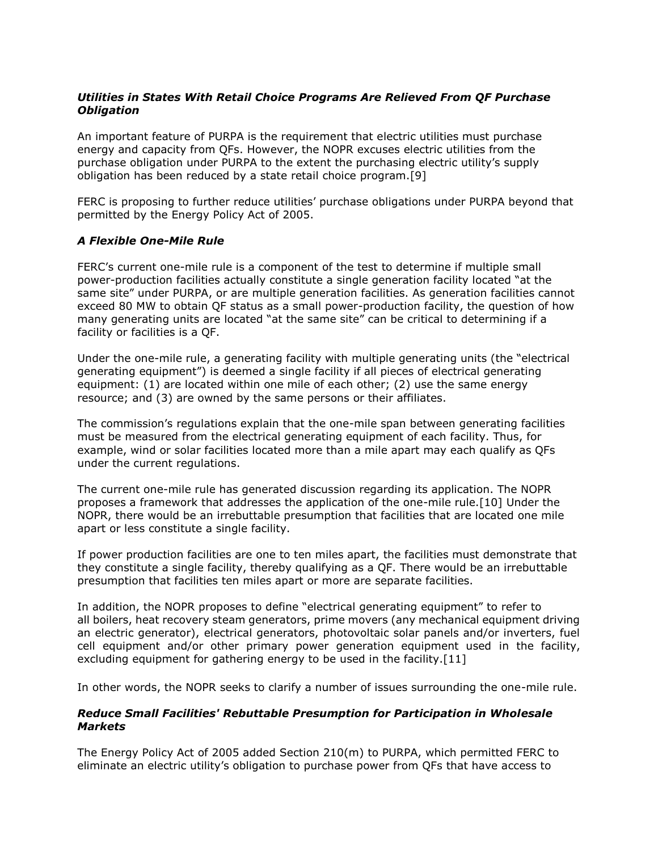# *Utilities in States With Retail Choice Programs Are Relieved From QF Purchase Obligation*

An important feature of PURPA is the requirement that electric utilities must purchase energy and capacity from QFs. However, the NOPR excuses electric utilities from the purchase obligation under PURPA to the extent the purchasing electric utility's supply obligation has been reduced by a state retail choice program.[9]

FERC is proposing to further reduce utilities' purchase obligations under PURPA beyond that permitted by the Energy Policy Act of 2005.

#### *A Flexible One-Mile Rule*

FERC's current one-mile rule is a component of the test to determine if multiple small power-production facilities actually constitute a single generation facility located "at the same site" under PURPA, or are multiple generation facilities. As generation facilities cannot exceed 80 MW to obtain QF status as a small power-production facility, the question of how many generating units are located "at the same site" can be critical to determining if a facility or facilities is a QF.

Under the one-mile rule, a generating facility with multiple generating units (the "electrical generating equipment") is deemed a single facility if all pieces of electrical generating equipment: (1) are located within one mile of each other; (2) use the same energy resource; and (3) are owned by the same persons or their affiliates.

The commission's regulations explain that the one-mile span between generating facilities must be measured from the electrical generating equipment of each facility. Thus, for example, wind or solar facilities located more than a mile apart may each qualify as QFs under the current regulations.

The current one-mile rule has generated discussion regarding its application. The NOPR proposes a framework that addresses the application of the one-mile rule.[10] Under the NOPR, there would be an irrebuttable presumption that facilities that are located one mile apart or less constitute a single facility.

If power production facilities are one to ten miles apart, the facilities must demonstrate that they constitute a single facility, thereby qualifying as a QF. There would be an irrebuttable presumption that facilities ten miles apart or more are separate facilities.

In addition, the NOPR proposes to define "electrical generating equipment" to refer to all boilers, heat recovery steam generators, prime movers (any mechanical equipment driving an electric generator), electrical generators, photovoltaic solar panels and/or inverters, fuel cell equipment and/or other primary power generation equipment used in the facility, excluding equipment for gathering energy to be used in the facility.[11]

In other words, the NOPR seeks to clarify a number of issues surrounding the one-mile rule.

### *Reduce Small Facilities' Rebuttable Presumption for Participation in Wholesale Markets*

The Energy Policy Act of 2005 added Section 210(m) to PURPA, which permitted FERC to eliminate an electric utility's obligation to purchase power from QFs that have access to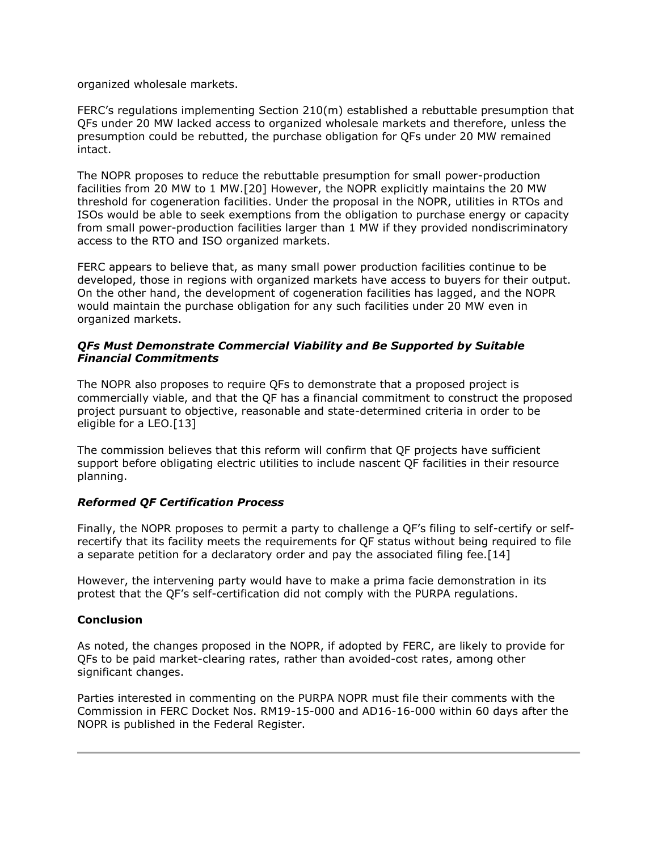organized wholesale markets.

FERC's regulations implementing Section 210(m) established a rebuttable presumption that QFs under 20 MW lacked access to organized wholesale markets and therefore, unless the presumption could be rebutted, the purchase obligation for QFs under 20 MW remained intact.

The NOPR proposes to reduce the rebuttable presumption for small power-production facilities from 20 MW to 1 MW.[20] However, the NOPR explicitly maintains the 20 MW threshold for cogeneration facilities. Under the proposal in the NOPR, utilities in RTOs and ISOs would be able to seek exemptions from the obligation to purchase energy or capacity from small power-production facilities larger than 1 MW if they provided nondiscriminatory access to the RTO and ISO organized markets.

FERC appears to believe that, as many small power production facilities continue to be developed, those in regions with organized markets have access to buyers for their output. On the other hand, the development of cogeneration facilities has lagged, and the NOPR would maintain the purchase obligation for any such facilities under 20 MW even in organized markets.

### *QFs Must Demonstrate Commercial Viability and Be Supported by Suitable Financial Commitments*

The NOPR also proposes to require QFs to demonstrate that a proposed project is commercially viable, and that the QF has a financial commitment to construct the proposed project pursuant to objective, reasonable and state-determined criteria in order to be eligible for a LEO.[13]

The commission believes that this reform will confirm that QF projects have sufficient support before obligating electric utilities to include nascent QF facilities in their resource planning.

### *Reformed QF Certification Process*

Finally, the NOPR proposes to permit a party to challenge a QF's filing to self-certify or selfrecertify that its facility meets the requirements for QF status without being required to file a separate petition for a declaratory order and pay the associated filing fee.[14]

However, the intervening party would have to make a prima facie demonstration in its protest that the QF's self-certification did not comply with the PURPA regulations.

### **Conclusion**

As noted, the changes proposed in the NOPR, if adopted by FERC, are likely to provide for QFs to be paid market-clearing rates, rather than avoided-cost rates, among other significant changes.

Parties interested in commenting on the PURPA NOPR must file their comments with the Commission in FERC Docket Nos. RM19-15-000 and AD16-16-000 within 60 days after the NOPR is published in the Federal Register.